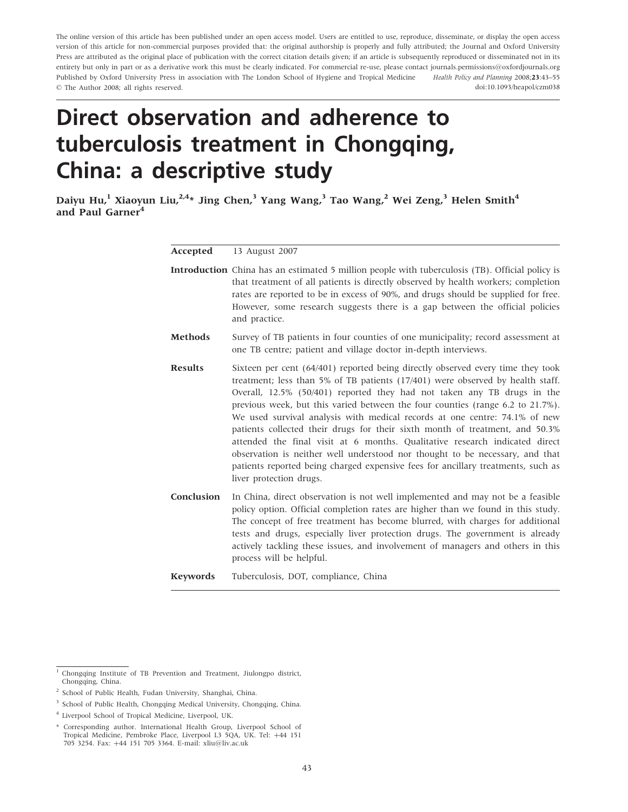The online version of this article has been published under an open access model. Users are entitled to use, reproduce, disseminate, or display the open access version of this article for non-commercial purposes provided that: the original authorship is properly and fully attributed; the Journal and Oxford University Press are attributed as the original place of publication with the correct citation details given; if an article is subsequently reproduced or disseminated not in its entirety but only in part or as a derivative work this must be clearly indicated. For commercial re-use, please contact journals.permissions@oxfordjournals.org Published by Oxford University Press in association with The London School of Hygiene and Tropical Medicine The Author 2008; all rights reserved. Health Policy and Planning 2008;23:43–55 doi:10.1093/heapol/czm038

# Direct observation and adherence to tuberculosis treatment in Chongqing, China: a descriptive study

Daiyu Hu,<sup>1</sup> Xiaoyun Liu,<sup>2,4</sup>\* Jing Chen,<sup>3</sup> Yang Wang,<sup>3</sup> Tao Wang,<sup>2</sup> Wei Zeng,<sup>3</sup> Helen Smith<sup>4</sup> and Paul Garner<sup>4</sup>

| Accepted        | 13 August 2007                                                                                                                                                                                                                                                                                                                                                                                                                                                                                                                                                                                                                                                                                                                                                             |
|-----------------|----------------------------------------------------------------------------------------------------------------------------------------------------------------------------------------------------------------------------------------------------------------------------------------------------------------------------------------------------------------------------------------------------------------------------------------------------------------------------------------------------------------------------------------------------------------------------------------------------------------------------------------------------------------------------------------------------------------------------------------------------------------------------|
|                 | <b>Introduction</b> China has an estimated 5 million people with tuberculosis (TB). Official policy is<br>that treatment of all patients is directly observed by health workers; completion<br>rates are reported to be in excess of 90%, and drugs should be supplied for free.<br>However, some research suggests there is a gap between the official policies<br>and practice.                                                                                                                                                                                                                                                                                                                                                                                          |
| <b>Methods</b>  | Survey of TB patients in four counties of one municipality; record assessment at<br>one TB centre; patient and village doctor in-depth interviews.                                                                                                                                                                                                                                                                                                                                                                                                                                                                                                                                                                                                                         |
| <b>Results</b>  | Sixteen per cent (64/401) reported being directly observed every time they took<br>treatment; less than 5% of TB patients (17/401) were observed by health staff.<br>Overall, 12.5% (50/401) reported they had not taken any TB drugs in the<br>previous week, but this varied between the four counties (range 6.2 to 21.7%).<br>We used survival analysis with medical records at one centre: 74.1% of new<br>patients collected their drugs for their sixth month of treatment, and 50.3%<br>attended the final visit at 6 months. Qualitative research indicated direct<br>observation is neither well understood nor thought to be necessary, and that<br>patients reported being charged expensive fees for ancillary treatments, such as<br>liver protection drugs. |
| Conclusion      | In China, direct observation is not well implemented and may not be a feasible<br>policy option. Official completion rates are higher than we found in this study.<br>The concept of free treatment has become blurred, with charges for additional<br>tests and drugs, especially liver protection drugs. The government is already<br>actively tackling these issues, and involvement of managers and others in this<br>process will be helpful.                                                                                                                                                                                                                                                                                                                         |
| <b>Keywords</b> | Tuberculosis, DOT, compliance, China                                                                                                                                                                                                                                                                                                                                                                                                                                                                                                                                                                                                                                                                                                                                       |

<sup>1</sup> Chongqing Institute of TB Prevention and Treatment, Jiulongpo district, Chongqing, China.

<sup>2</sup> School of Public Health, Fudan University, Shanghai, China.

<sup>&</sup>lt;sup>3</sup> School of Public Health, Chongqing Medical University, Chongqing, China.

<sup>4</sup> Liverpool School of Tropical Medicine, Liverpool, UK.

<sup>\*</sup> Corresponding author. International Health Group, Liverpool School of Tropical Medicine, Pembroke Place, Liverpool L3 5QA, UK. Tel: +44 151 705 3254. Fax: +44 151 705 3364. E-mail: xliu@liv.ac.uk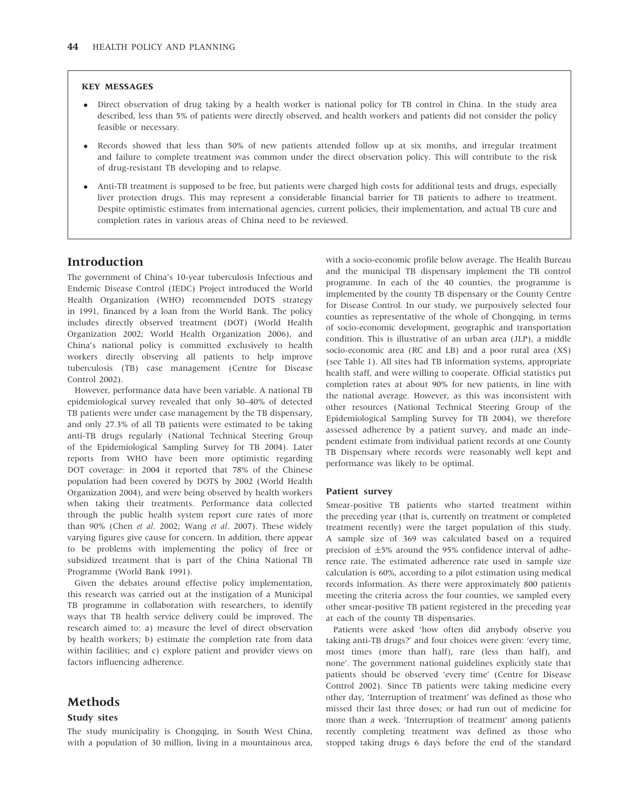## KEY MESSAGES

- $\bullet$  Direct observation of drug taking by a health worker is national policy for TB control in China. In the study area described, less than 5% of patients were directly observed, and health workers and patients did not consider the policy feasible or necessary.
- $\bullet$  Records showed that less than 50% of new patients attended follow up at six months, and irregular treatment and failure to complete treatment was common under the direct observation policy. This will contribute to the risk of drug-resistant TB developing and to relapse.
- $\bullet$  Anti-TB treatment is supposed to be free, but patients were charged high costs for additional tests and drugs, especially liver protection drugs. This may represent a considerable financial barrier for TB patients to adhere to treatment. Despite optimistic estimates from international agencies, current policies, their implementation, and actual TB cure and completion rates in various areas of China need to be reviewed.

# Introduction

The government of China's 10-year tuberculosis Infectious and Endemic Disease Control (IEDC) Project introduced the World Health Organization (WHO) recommended DOTS strategy in 1991, financed by a loan from the World Bank. The policy includes directly observed treatment (DOT) (World Health Organization 2002; World Health Organization 2006), and China's national policy is committed exclusively to health workers directly observing all patients to help improve tuberculosis (TB) case management (Centre for Disease Control 2002).

However, performance data have been variable. A national TB epidemiological survey revealed that only 30–40% of detected TB patients were under case management by the TB dispensary, and only 27.3% of all TB patients were estimated to be taking anti-TB drugs regularly (National Technical Steering Group of the Epidemiological Sampling Survey for TB 2004). Later reports from WHO have been more optimistic regarding DOT coverage: in 2004 it reported that 78% of the Chinese population had been covered by DOTS by 2002 (World Health Organization 2004), and were being observed by health workers when taking their treatments. Performance data collected through the public health system report cure rates of more than 90% (Chen et al. 2002; Wang et al. 2007). These widely varying figures give cause for concern. In addition, there appear to be problems with implementing the policy of free or subsidized treatment that is part of the China National TB Programme (World Bank 1991).

Given the debates around effective policy implementation, this research was carried out at the instigation of a Municipal TB programme in collaboration with researchers, to identify ways that TB health service delivery could be improved. The research aimed to: a) measure the level of direct observation by health workers; b) estimate the completion rate from data within facilities; and c) explore patient and provider views on factors influencing adherence.

# Methods

## Study sites

The study municipality is Chongqing, in South West China, with a population of 30 million, living in a mountainous area, with a socio-economic profile below average. The Health Bureau and the municipal TB dispensary implement the TB control programme. In each of the 40 counties, the programme is implemented by the county TB dispensary or the County Centre for Disease Control. In our study, we purposively selected four counties as representative of the whole of Chongqing, in terms of socio-economic development, geographic and transportation condition. This is illustrative of an urban area (JLP), a middle socio-economic area (RC and LB) and a poor rural area (XS) (see Table 1). All sites had TB information systems, appropriate health staff, and were willing to cooperate. Official statistics put completion rates at about 90% for new patients, in line with the national average. However, as this was inconsistent with other resources (National Technical Steering Group of the Epidemiological Sampling Survey for TB 2004), we therefore assessed adherence by a patient survey, and made an independent estimate from individual patient records at one County TB Dispensary where records were reasonably well kept and performance was likely to be optimal.

## Patient survey

Smear-positive TB patients who started treatment within the preceding year (that is, currently on treatment or completed treatment recently) were the target population of this study. A sample size of 369 was calculated based on a required precision of  $\pm 5\%$  around the 95% confidence interval of adherence rate. The estimated adherence rate used in sample size calculation is 60%, according to a pilot estimation using medical records information. As there were approximately 800 patients meeting the criteria across the four counties, we sampled every other smear-positive TB patient registered in the preceding year at each of the county TB dispensaries.

Patients were asked 'how often did anybody observe you taking anti-TB drugs?' and four choices were given: 'every time, most times (more than half), rare (less than half), and none'. The government national guidelines explicitly state that patients should be observed 'every time' (Centre for Disease Control 2002). Since TB patients were taking medicine every other day, 'Interruption of treatment' was defined as those who missed their last three doses; or had run out of medicine for more than a week. 'Interruption of treatment' among patients recently completing treatment was defined as those who stopped taking drugs 6 days before the end of the standard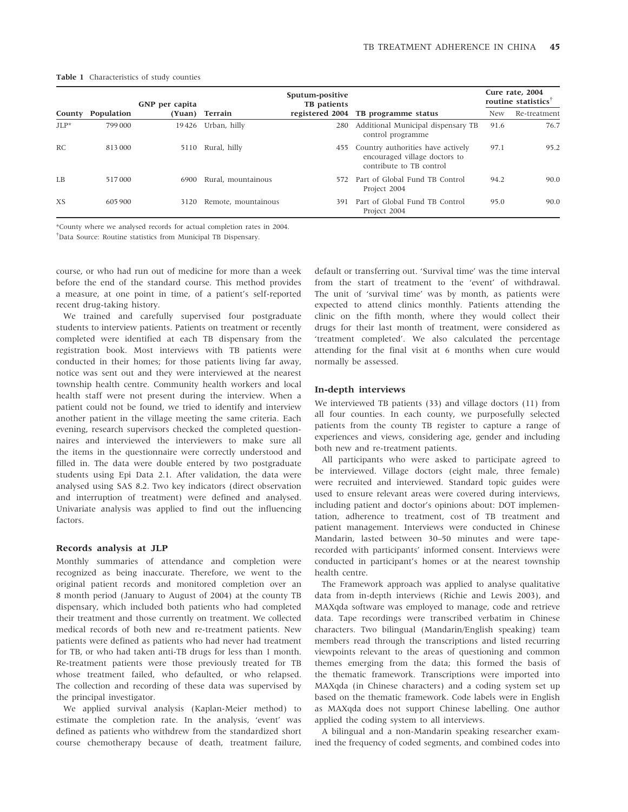| Sputum-positive<br>TB patients<br>GNP per capita |            |        | Cure rate, 2004<br>routine statistics <sup><math>\uparrow</math></sup> |     |                                                                                                |            |              |
|--------------------------------------------------|------------|--------|------------------------------------------------------------------------|-----|------------------------------------------------------------------------------------------------|------------|--------------|
| County                                           | Population | (Yuan) | Terrain                                                                |     | registered 2004 TB programme status                                                            | <b>New</b> | Re-treatment |
| $JLP^*$                                          | 799 000    | 19426  | Urban, hilly                                                           | 280 | Additional Municipal dispensary TB<br>control programme                                        | 91.6       | 76.7         |
| RC                                               | 813000     | 5110   | Rural, hilly                                                           | 455 | Country authorities have actively<br>encouraged village doctors to<br>contribute to TB control | 97.1       | 95.2         |
| <b>LB</b>                                        | 517000     | 6900   | Rural, mountainous                                                     | 572 | Part of Global Fund TB Control<br>Project 2004                                                 | 94.2       | 90.0         |
| XS                                               | 605 900    | 3120   | Remote, mountainous                                                    | 391 | Part of Global Fund TB Control<br>Project 2004                                                 | 95.0       | 90.0         |

#### Table 1 Characteristics of study counties

\*County where we analysed records for actual completion rates in 2004.

<sup>†</sup>Data Source: Routine statistics from Municipal TB Dispensary.

course, or who had run out of medicine for more than a week before the end of the standard course. This method provides a measure, at one point in time, of a patient's self-reported recent drug-taking history.

We trained and carefully supervised four postgraduate students to interview patients. Patients on treatment or recently completed were identified at each TB dispensary from the registration book. Most interviews with TB patients were conducted in their homes; for those patients living far away, notice was sent out and they were interviewed at the nearest township health centre. Community health workers and local health staff were not present during the interview. When a patient could not be found, we tried to identify and interview another patient in the village meeting the same criteria. Each evening, research supervisors checked the completed questionnaires and interviewed the interviewers to make sure all the items in the questionnaire were correctly understood and filled in. The data were double entered by two postgraduate students using Epi Data 2.1. After validation, the data were analysed using SAS 8.2. Two key indicators (direct observation and interruption of treatment) were defined and analysed. Univariate analysis was applied to find out the influencing factors.

#### Records analysis at JLP

Monthly summaries of attendance and completion were recognized as being inaccurate. Therefore, we went to the original patient records and monitored completion over an 8 month period (January to August of 2004) at the county TB dispensary, which included both patients who had completed their treatment and those currently on treatment. We collected medical records of both new and re-treatment patients. New patients were defined as patients who had never had treatment for TB, or who had taken anti-TB drugs for less than 1 month. Re-treatment patients were those previously treated for TB whose treatment failed, who defaulted, or who relapsed. The collection and recording of these data was supervised by the principal investigator.

We applied survival analysis (Kaplan-Meier method) to estimate the completion rate. In the analysis, 'event' was defined as patients who withdrew from the standardized short course chemotherapy because of death, treatment failure, default or transferring out. 'Survival time' was the time interval from the start of treatment to the 'event' of withdrawal. The unit of 'survival time' was by month, as patients were expected to attend clinics monthly. Patients attending the clinic on the fifth month, where they would collect their drugs for their last month of treatment, were considered as 'treatment completed'. We also calculated the percentage attending for the final visit at 6 months when cure would normally be assessed.

## In-depth interviews

We interviewed TB patients (33) and village doctors (11) from all four counties. In each county, we purposefully selected patients from the county TB register to capture a range of experiences and views, considering age, gender and including both new and re-treatment patients.

All participants who were asked to participate agreed to be interviewed. Village doctors (eight male, three female) were recruited and interviewed. Standard topic guides were used to ensure relevant areas were covered during interviews, including patient and doctor's opinions about: DOT implementation, adherence to treatment, cost of TB treatment and patient management. Interviews were conducted in Chinese Mandarin, lasted between 30–50 minutes and were taperecorded with participants' informed consent. Interviews were conducted in participant's homes or at the nearest township health centre.

The Framework approach was applied to analyse qualitative data from in-depth interviews (Richie and Lewis 2003), and MAXqda software was employed to manage, code and retrieve data. Tape recordings were transcribed verbatim in Chinese characters. Two bilingual (Mandarin/English speaking) team members read through the transcriptions and listed recurring viewpoints relevant to the areas of questioning and common themes emerging from the data; this formed the basis of the thematic framework. Transcriptions were imported into MAXqda (in Chinese characters) and a coding system set up based on the thematic framework. Code labels were in English as MAXqda does not support Chinese labelling. One author applied the coding system to all interviews.

A bilingual and a non-Mandarin speaking researcher examined the frequency of coded segments, and combined codes into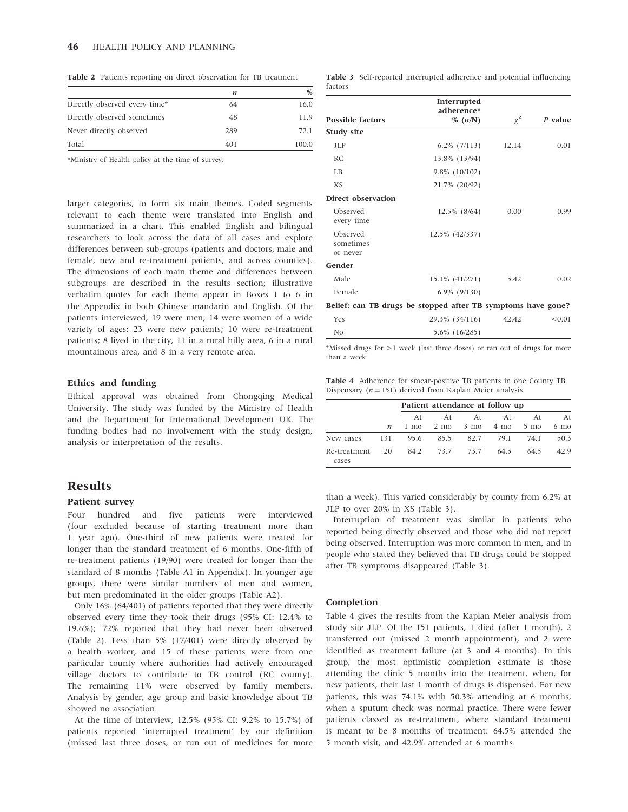Table 2 Patients reporting on direct observation for TB treatment

|                               | n   | $\%$  |
|-------------------------------|-----|-------|
| Directly observed every time* | 64  | 16.0  |
| Directly observed sometimes   | 48  | 11.9  |
| Never directly observed       | 289 | 72.1  |
| Total                         | 401 | 100.0 |

\*Ministry of Health policy at the time of survey.

larger categories, to form six main themes. Coded segments relevant to each theme were translated into English and summarized in a chart. This enabled English and bilingual researchers to look across the data of all cases and explore differences between sub-groups (patients and doctors, male and female, new and re-treatment patients, and across counties). The dimensions of each main theme and differences between subgroups are described in the results section; illustrative verbatim quotes for each theme appear in Boxes 1 to 6 in the Appendix in both Chinese mandarin and English. Of the patients interviewed, 19 were men, 14 were women of a wide variety of ages; 23 were new patients; 10 were re-treatment patients; 8 lived in the city, 11 in a rural hilly area, 6 in a rural mountainous area, and 8 in a very remote area.

## Ethics and funding

Ethical approval was obtained from Chongqing Medical University. The study was funded by the Ministry of Health and the Department for International Development UK. The funding bodies had no involvement with the study design, analysis or interpretation of the results.

# Results

#### Patient survey

Four hundred and five patients were interviewed (four excluded because of starting treatment more than 1 year ago). One-third of new patients were treated for longer than the standard treatment of 6 months. One-fifth of re-treatment patients (19/90) were treated for longer than the standard of 8 months (Table A1 in Appendix). In younger age groups, there were similar numbers of men and women, but men predominated in the older groups (Table A2).

Only 16% (64/401) of patients reported that they were directly observed every time they took their drugs (95% CI: 12.4% to 19.6%); 72% reported that they had never been observed (Table 2). Less than 5% (17/401) were directly observed by a health worker, and 15 of these patients were from one particular county where authorities had actively encouraged village doctors to contribute to TB control (RC county). The remaining 11% were observed by family members. Analysis by gender, age group and basic knowledge about TB showed no association.

At the time of interview, 12.5% (95% CI: 9.2% to 15.7%) of patients reported 'interrupted treatment' by our definition (missed last three doses, or run out of medicines for more

Table 3 Self-reported interrupted adherence and potential influencing factors

|                                   | Interrupted<br>adherence*                                    |          |         |
|-----------------------------------|--------------------------------------------------------------|----------|---------|
| <b>Possible factors</b>           | % $(n/N)$                                                    | $\chi^2$ | P value |
| Study site                        |                                                              |          |         |
| <b>JLP</b>                        | $6.2\%$ (7/113)                                              | 12.14    | 0.01    |
| RC                                | 13.8% (13/94)                                                |          |         |
| LB                                | $9.8\%$ (10/102)                                             |          |         |
| <b>XS</b>                         | 21.7% (20/92)                                                |          |         |
| Direct observation                |                                                              |          |         |
| Observed<br>every time            | $12.5\%$ $(8/64)$                                            | 0.00     | 0.99    |
| Observed<br>sometimes<br>or never | 12.5% (42/337)                                               |          |         |
| Gender                            |                                                              |          |         |
| Male                              | 15.1% (41/271)                                               | 5.42     | 0.02    |
| Female                            | $6.9\%$ ( $9/130$ )                                          |          |         |
|                                   | Belief: can TB drugs be stopped after TB symptoms have gone? |          |         |
| Yes                               | 29.3% (34/116)                                               | 42.42    | < 0.01  |

\*Missed drugs for >1 week (last three doses) or ran out of drugs for more than a week

No 5.6% (16/285)

Table 4 Adherence for smear-positive TB patients in one County TB Dispensary ( $n = 151$ ) derived from Kaplan Meier analysis

|                       |     |           |    |           | Patient attendance at follow up                             |      |      |
|-----------------------|-----|-----------|----|-----------|-------------------------------------------------------------|------|------|
|                       |     | At        | At | At        | At .                                                        | At   | At   |
|                       |     | 1 mo      |    |           | $2 \text{ mo}$ $3 \text{ mo}$ $4 \text{ mo}$ $5 \text{ mo}$ |      | 6 mo |
| New cases             | 131 | 95.6 85.5 |    | 82.7      | 79.1                                                        | 74.1 | 50.3 |
| Re-treatment<br>cases | 20  | 84.2      |    | 73.7 73.7 | 64.5                                                        | 64.5 | 42.9 |

than a week). This varied considerably by county from 6.2% at JLP to over 20% in XS (Table 3).

Interruption of treatment was similar in patients who reported being directly observed and those who did not report being observed. Interruption was more common in men, and in people who stated they believed that TB drugs could be stopped after TB symptoms disappeared (Table 3).

## Completion

Table 4 gives the results from the Kaplan Meier analysis from study site JLP. Of the 151 patients, 1 died (after 1 month), 2 transferred out (missed 2 month appointment), and 2 were identified as treatment failure (at 3 and 4 months). In this group, the most optimistic completion estimate is those attending the clinic 5 months into the treatment, when, for new patients, their last 1 month of drugs is dispensed. For new patients, this was 74.1% with 50.3% attending at 6 months, when a sputum check was normal practice. There were fewer patients classed as re-treatment, where standard treatment is meant to be 8 months of treatment: 64.5% attended the 5 month visit, and 42.9% attended at 6 months.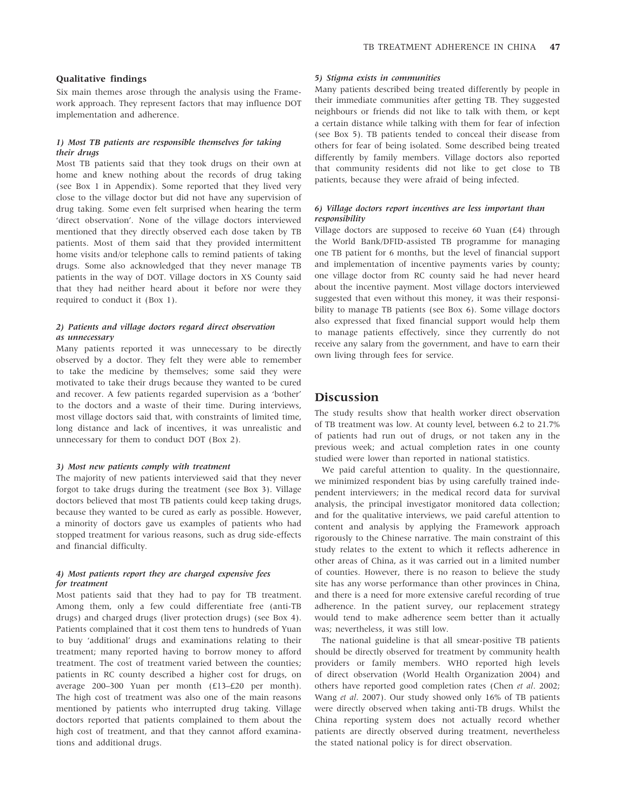# Qualitative findings

Six main themes arose through the analysis using the Framework approach. They represent factors that may influence DOT implementation and adherence.

# 1) Most TB patients are responsible themselves for taking their drugs

Most TB patients said that they took drugs on their own at home and knew nothing about the records of drug taking (see Box 1 in Appendix). Some reported that they lived very close to the village doctor but did not have any supervision of drug taking. Some even felt surprised when hearing the term 'direct observation'. None of the village doctors interviewed mentioned that they directly observed each dose taken by TB patients. Most of them said that they provided intermittent home visits and/or telephone calls to remind patients of taking drugs. Some also acknowledged that they never manage TB patients in the way of DOT. Village doctors in XS County said that they had neither heard about it before nor were they required to conduct it (Box 1).

# 2) Patients and village doctors regard direct observation as unnecessary

Many patients reported it was unnecessary to be directly observed by a doctor. They felt they were able to remember to take the medicine by themselves; some said they were motivated to take their drugs because they wanted to be cured and recover. A few patients regarded supervision as a 'bother' to the doctors and a waste of their time. During interviews, most village doctors said that, with constraints of limited time, long distance and lack of incentives, it was unrealistic and unnecessary for them to conduct DOT (Box 2).

#### 3) Most new patients comply with treatment

The majority of new patients interviewed said that they never forgot to take drugs during the treatment (see Box 3). Village doctors believed that most TB patients could keep taking drugs, because they wanted to be cured as early as possible. However, a minority of doctors gave us examples of patients who had stopped treatment for various reasons, such as drug side-effects and financial difficulty.

# 4) Most patients report they are charged expensive fees for treatment

Most patients said that they had to pay for TB treatment. Among them, only a few could differentiate free (anti-TB drugs) and charged drugs (liver protection drugs) (see Box 4). Patients complained that it cost them tens to hundreds of Yuan to buy 'additional' drugs and examinations relating to their treatment; many reported having to borrow money to afford treatment. The cost of treatment varied between the counties; patients in RC county described a higher cost for drugs, on average 200–300 Yuan per month (£13–£20 per month). The high cost of treatment was also one of the main reasons mentioned by patients who interrupted drug taking. Village doctors reported that patients complained to them about the high cost of treatment, and that they cannot afford examinations and additional drugs.

#### 5) Stigma exists in communities

Many patients described being treated differently by people in their immediate communities after getting TB. They suggested neighbours or friends did not like to talk with them, or kept a certain distance while talking with them for fear of infection (see Box 5). TB patients tended to conceal their disease from others for fear of being isolated. Some described being treated differently by family members. Village doctors also reported that community residents did not like to get close to TB patients, because they were afraid of being infected.

# 6) Village doctors report incentives are less important than responsibility

Village doctors are supposed to receive 60 Yuan (£4) through the World Bank/DFID-assisted TB programme for managing one TB patient for 6 months, but the level of financial support and implementation of incentive payments varies by county; one village doctor from RC county said he had never heard about the incentive payment. Most village doctors interviewed suggested that even without this money, it was their responsibility to manage TB patients (see Box 6). Some village doctors also expressed that fixed financial support would help them to manage patients effectively, since they currently do not receive any salary from the government, and have to earn their own living through fees for service.

# **Discussion**

The study results show that health worker direct observation of TB treatment was low. At county level, between 6.2 to 21.7% of patients had run out of drugs, or not taken any in the previous week; and actual completion rates in one county studied were lower than reported in national statistics.

We paid careful attention to quality. In the questionnaire, we minimized respondent bias by using carefully trained independent interviewers; in the medical record data for survival analysis, the principal investigator monitored data collection; and for the qualitative interviews, we paid careful attention to content and analysis by applying the Framework approach rigorously to the Chinese narrative. The main constraint of this study relates to the extent to which it reflects adherence in other areas of China, as it was carried out in a limited number of counties. However, there is no reason to believe the study site has any worse performance than other provinces in China, and there is a need for more extensive careful recording of true adherence. In the patient survey, our replacement strategy would tend to make adherence seem better than it actually was; nevertheless, it was still low.

The national guideline is that all smear-positive TB patients should be directly observed for treatment by community health providers or family members. WHO reported high levels of direct observation (World Health Organization 2004) and others have reported good completion rates (Chen et al. 2002; Wang et al. 2007). Our study showed only 16% of TB patients were directly observed when taking anti-TB drugs. Whilst the China reporting system does not actually record whether patients are directly observed during treatment, nevertheless the stated national policy is for direct observation.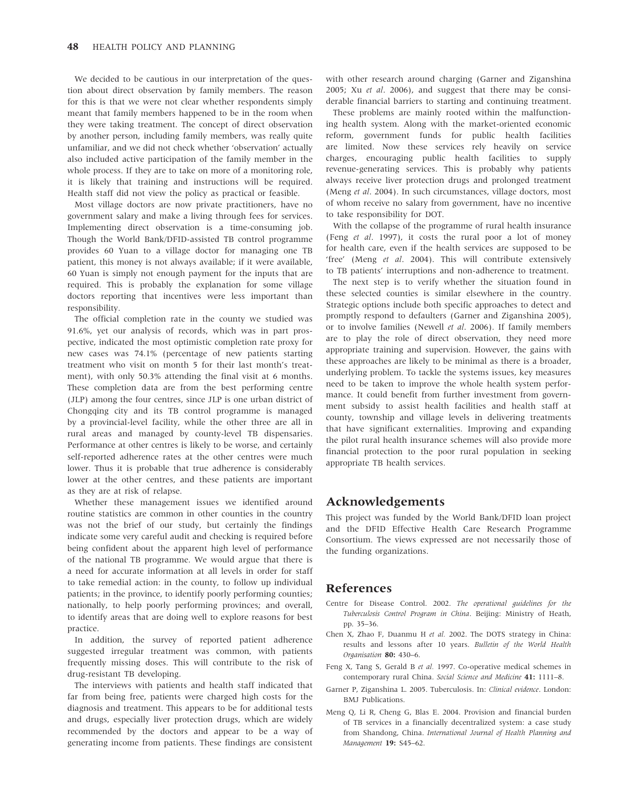We decided to be cautious in our interpretation of the question about direct observation by family members. The reason for this is that we were not clear whether respondents simply meant that family members happened to be in the room when they were taking treatment. The concept of direct observation by another person, including family members, was really quite unfamiliar, and we did not check whether 'observation' actually also included active participation of the family member in the whole process. If they are to take on more of a monitoring role, it is likely that training and instructions will be required. Health staff did not view the policy as practical or feasible.

Most village doctors are now private practitioners, have no government salary and make a living through fees for services. Implementing direct observation is a time-consuming job. Though the World Bank/DFID-assisted TB control programme provides 60 Yuan to a village doctor for managing one TB patient, this money is not always available; if it were available, 60 Yuan is simply not enough payment for the inputs that are required. This is probably the explanation for some village doctors reporting that incentives were less important than responsibility.

The official completion rate in the county we studied was 91.6%, yet our analysis of records, which was in part prospective, indicated the most optimistic completion rate proxy for new cases was 74.1% (percentage of new patients starting treatment who visit on month 5 for their last month's treatment), with only 50.3% attending the final visit at 6 months. These completion data are from the best performing centre (JLP) among the four centres, since JLP is one urban district of Chongqing city and its TB control programme is managed by a provincial-level facility, while the other three are all in rural areas and managed by county-level TB dispensaries. Performance at other centres is likely to be worse, and certainly self-reported adherence rates at the other centres were much lower. Thus it is probable that true adherence is considerably lower at the other centres, and these patients are important as they are at risk of relapse.

Whether these management issues we identified around routine statistics are common in other counties in the country was not the brief of our study, but certainly the findings indicate some very careful audit and checking is required before being confident about the apparent high level of performance of the national TB programme. We would argue that there is a need for accurate information at all levels in order for staff to take remedial action: in the county, to follow up individual patients; in the province, to identify poorly performing counties; nationally, to help poorly performing provinces; and overall, to identify areas that are doing well to explore reasons for best practice.

In addition, the survey of reported patient adherence suggested irregular treatment was common, with patients frequently missing doses. This will contribute to the risk of drug-resistant TB developing.

The interviews with patients and health staff indicated that far from being free, patients were charged high costs for the diagnosis and treatment. This appears to be for additional tests and drugs, especially liver protection drugs, which are widely recommended by the doctors and appear to be a way of generating income from patients. These findings are consistent

with other research around charging (Garner and Ziganshina 2005; Xu et al. 2006), and suggest that there may be considerable financial barriers to starting and continuing treatment.

These problems are mainly rooted within the malfunctioning health system. Along with the market-oriented economic reform, government funds for public health facilities are limited. Now these services rely heavily on service charges, encouraging public health facilities to supply revenue-generating services. This is probably why patients always receive liver protection drugs and prolonged treatment (Meng et al. 2004). In such circumstances, village doctors, most of whom receive no salary from government, have no incentive to take responsibility for DOT.

With the collapse of the programme of rural health insurance (Feng et al. 1997), it costs the rural poor a lot of money for health care, even if the health services are supposed to be 'free' (Meng et al. 2004). This will contribute extensively to TB patients' interruptions and non-adherence to treatment.

The next step is to verify whether the situation found in these selected counties is similar elsewhere in the country. Strategic options include both specific approaches to detect and promptly respond to defaulters (Garner and Ziganshina 2005), or to involve families (Newell et al. 2006). If family members are to play the role of direct observation, they need more appropriate training and supervision. However, the gains with these approaches are likely to be minimal as there is a broader, underlying problem. To tackle the systems issues, key measures need to be taken to improve the whole health system performance. It could benefit from further investment from government subsidy to assist health facilities and health staff at county, township and village levels in delivering treatments that have significant externalities. Improving and expanding the pilot rural health insurance schemes will also provide more financial protection to the poor rural population in seeking appropriate TB health services.

# Acknowledgements

This project was funded by the World Bank/DFID loan project and the DFID Effective Health Care Research Programme Consortium. The views expressed are not necessarily those of the funding organizations.

# References

- Centre for Disease Control. 2002. The operational guidelines for the Tuberculosis Control Program in China. Beijing: Ministry of Heath, pp. 35–36.
- Chen X, Zhao F, Duanmu H et al. 2002. The DOTS strategy in China: results and lessons after 10 years. Bulletin of the World Health Organisation 80: 430–6.
- Feng X, Tang S, Gerald B et al. 1997. Co-operative medical schemes in contemporary rural China. Social Science and Medicine 41: 1111–8.
- Garner P, Ziganshina L. 2005. Tuberculosis. In: Clinical evidence. London: BMJ Publications.
- Meng Q, Li R, Cheng G, Blas E. 2004. Provision and financial burden of TB services in a financially decentralized system: a case study from Shandong, China. International Journal of Health Planning and Management 19: S45-62.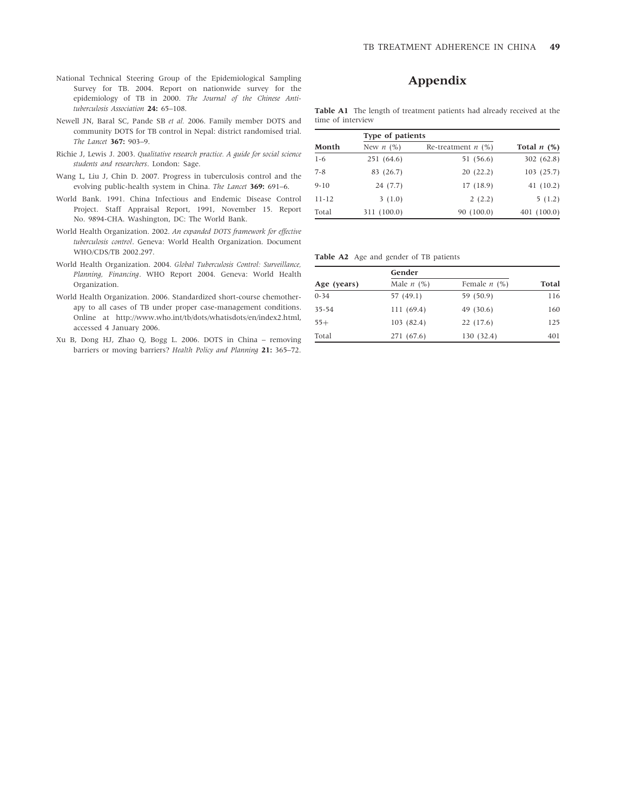- National Technical Steering Group of the Epidemiological Sampling Survey for TB. 2004. Report on nationwide survey for the epidemiology of TB in 2000. The Journal of the Chinese Antituberculosis Association 24: 65–108.
- Newell JN, Baral SC, Pande SB et al. 2006. Family member DOTS and community DOTS for TB control in Nepal: district randomised trial. The Lancet 367: 903–9.
- Richie J, Lewis J. 2003. Qualitative research practice. A guide for social science students and researchers. London: Sage.
- Wang L, Liu J, Chin D. 2007. Progress in tuberculosis control and the evolving public-health system in China. The Lancet 369: 691–6.
- World Bank. 1991. China Infectious and Endemic Disease Control Project. Staff Appraisal Report, 1991, November 15. Report No. 9894-CHA. Washington, DC: The World Bank.
- World Health Organization. 2002. An expanded DOTS framework for effective tuberculosis control. Geneva: World Health Organization. Document WHO/CDS/TB 2002.297.
- World Health Organization. 2004. Global Tuberculosis Control: Surveillance, Planning, Financing. WHO Report 2004. Geneva: World Health Organization.
- World Health Organization. 2006. Standardized short-course chemotherapy to all cases of TB under proper case-management conditions. Online at [http://www.who.int/tb/dots/whatisdots/en/index2.html,](http://www.who.int/tb/dots/whatisdots/en/index2.html) accessed 4 January 2006.
- Xu B, Dong HJ, Zhao Q, Bogg L. 2006. DOTS in China removing barriers or moving barriers? Health Policy and Planning 21: 365–72.

# Appendix

Table A1 The length of treatment patients had already received at the time of interview

|           | Type of patients |                      |               |
|-----------|------------------|----------------------|---------------|
| Month     | New $n$ (%)      | Re-treatment $n$ (%) | Total $n$ (%) |
| $1-6$     | 251 (64.6)       | 51 (56.6)            | 302(62.8)     |
| $7 - 8$   | 83 (26.7)        | 20(22.2)             | 103(25.7)     |
| $9 - 10$  | 24 (7.7)         | 17(18.9)             | 41 $(10.2)$   |
| $11 - 12$ | 3(1.0)           | 2(2.2)               | 5(1.2)        |
| Total     | 311 (100.0)      | 90 (100.0)           | 401 (100.0)   |

Table A2 Age and gender of TB patients

|             | Gender       |                |       |
|-------------|--------------|----------------|-------|
| Age (years) | Male $n$ (%) | Female $n$ (%) | Total |
| $0 - 34$    | 57 (49.1)    | 59 (50.9)      | 116   |
| 35-54       | 111(69.4)    | 49 (30.6)      | 160   |
| $55+$       | 103(82.4)    | 22 (17.6)      | 125   |
| Total       | 271 (67.6)   | 130 (32.4)     | 401   |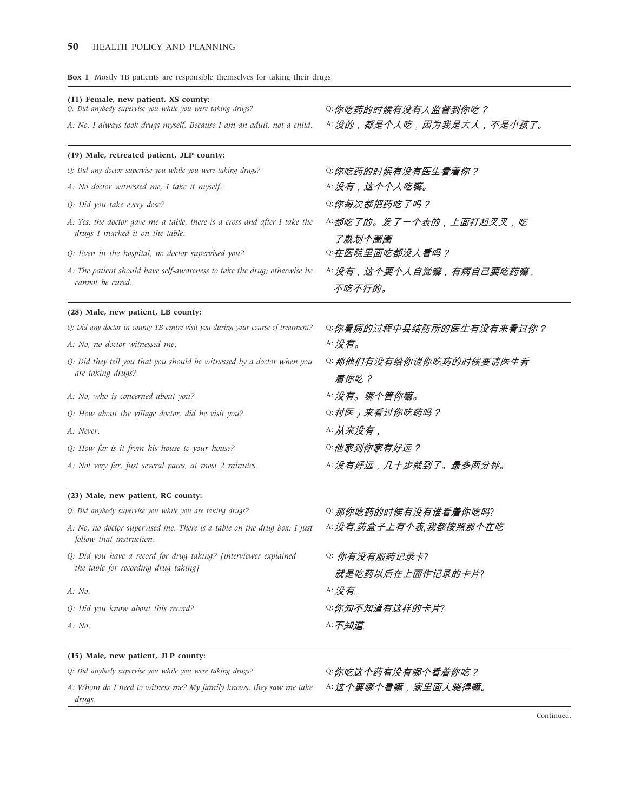|  |  |  |  |  | <b>Box 1</b> Mostly TB patients are responsible themselves for taking their drugs |  |  |  |  |
|--|--|--|--|--|-----------------------------------------------------------------------------------|--|--|--|--|
|--|--|--|--|--|-----------------------------------------------------------------------------------|--|--|--|--|

| (11) Female, new patient, XS county:<br>Q: Did anybody supervise you while you were taking drugs?            | Q:你吃药的时候有没有人监督到你吃?                         |  |  |  |
|--------------------------------------------------------------------------------------------------------------|--------------------------------------------|--|--|--|
| A: No, I always took drugs myself. Because I am an adult, not a child.                                       | A: 没的,都是个人吃,因为我是大人,不是小孩了。                  |  |  |  |
| (19) Male, retreated patient, JLP county:                                                                    |                                            |  |  |  |
| Q: Did any doctor supervise you while you were taking drugs?                                                 | Q:你吃药的时候有没有医生看着你?                          |  |  |  |
| A: No doctor witnessed me, I take it myself.                                                                 | A: 没有, 这个个人吃嘛。                             |  |  |  |
| Q: Did you take every dose?                                                                                  | Q:你每次都把药吃了吗?                               |  |  |  |
| A: Yes, the doctor gave me a table, there is a cross and after I take the<br>drugs I marked it on the table. | A:都吃了的。发了一个表的,上面打起叉叉,吃<br>了就划个圈圈           |  |  |  |
| Q: Even in the hospital, no doctor supervised you?                                                           | Q: 在医院里面吃都没人看吗?                            |  |  |  |
| A: The patient should have self-awareness to take the drug; otherwise he<br>cannot be cured.                 | A: 没有, <i>这个要个人自觉嘛,有病自己要吃药嘛,</i><br>不吃不行的。 |  |  |  |
| (28) Male, new patient, LB county:                                                                           |                                            |  |  |  |
| Q: Did any doctor in county TB centre visit you during your course of treatment?                             | Q: <i>你看病的过程中县结防所的医生有没有来看过你?</i>           |  |  |  |
| A: No, no doctor witnessed me.                                                                               | A: 没有。                                     |  |  |  |
| Q: Did they tell you that you should be witnessed by a doctor when you<br>are taking drugs?                  | Q: 那他们有没有给你说你吃药的时候要请医生看<br>着你吃?            |  |  |  |
| A: No, who is concerned about you?                                                                           | A: 没有。哪个管你嘛。                               |  |  |  |
| Q: How about the village doctor, did he visit you?                                                           | Q: 村医 ) 来看过你吃药吗 ?                          |  |  |  |
| A: Never.                                                                                                    | A: 从来没有,                                   |  |  |  |
| Q: How far is it from his house to your house?                                                               | Q: <i>他家到你家有好远?</i>                        |  |  |  |
| A: Not very far, just several paces, at most 2 minutes.                                                      | A: 没有好远, 几十步就到了。最多两分钟。                     |  |  |  |
| (23) Male, new patient, RC county:                                                                           |                                            |  |  |  |
| Q: Did anybody supervise you while you are taking drugs?                                                     | Q: 那你吃药的时候有没有谁看着你吃吗?                       |  |  |  |
| A: No, no doctor supervised me. There is a table on the drug box; I just<br>follow that instruction.         | A: 没有.药盒子上有个表.我都按照那个在吃                     |  |  |  |
| Q: Did you have a record for drug taking? [interviewer explained<br>the table for recording drug taking]     | Q: 你有没有服药记录卡?<br>就是吃药以后在上面作记录的卡片?          |  |  |  |
| A: No.                                                                                                       | A: 没有.                                     |  |  |  |
| Q: Did you know about this record?                                                                           | Q: 你知不知道有这样的卡片?                            |  |  |  |
| A: No.                                                                                                       | A: 不知道                                     |  |  |  |
| (15) Male, new patient, JLP county:                                                                          |                                            |  |  |  |
| Q: Did anybody supervise you while you were taking drugs?                                                    | Q: 你吃这个药有没有哪个看着你吃?                         |  |  |  |
| A: Whom do I need to witness me? My family knows, they saw me take<br>drugs.                                 | A: 这个要哪个看嘛, 家里面人晓得嘛。                       |  |  |  |

Continued.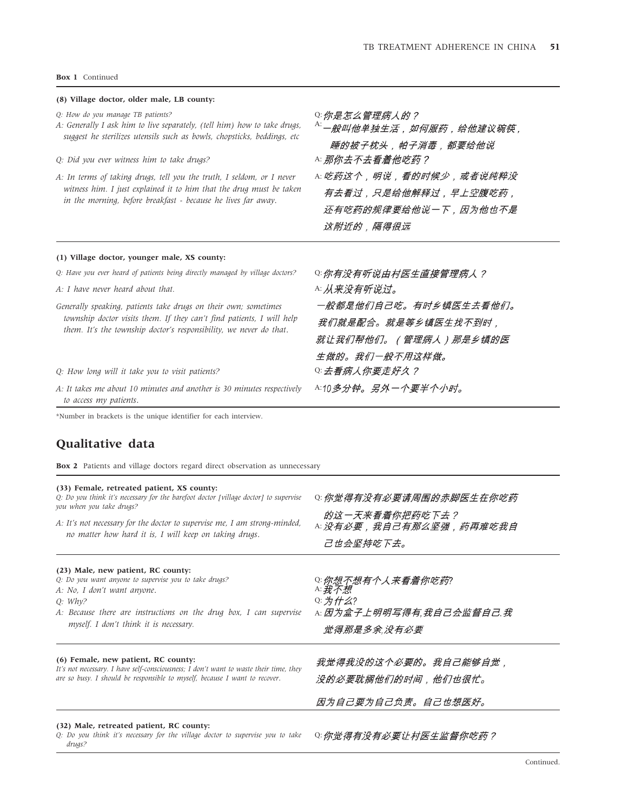## Box 1 Continued

## (8) Village doctor, older male, LB county:

- 
- A: Generally I ask him to live separately, (tell him) how to take drugs, suggest he sterilizes utensils such as bowls, chopsticks, beddings, etc
- Q: Did you ever witness him to take drugs?  $\overline{A}$  A: 那你去不去看着他吃药?
- A: In terms of taking drugs, tell you the truth, I seldom, or I never witness him. I just explained it to him that the drug must be taken in the morning, before breakfast - because he lives far away.

Q: How do you manage TB patients?  $Q:$   $\mathcal{O}:$   $\mathcal{O}:$   $\mathcal{O}:$   $\mathcal{O}:$   $\mathcal{O}:$   $\mathcal{O}:$   $\mathcal{O}:$   $\mathcal{O}:$   $\mathcal{O}:$   $\mathcal{O}:$   $\mathcal{O}:$   $\mathcal{O}:$   $\mathcal{O}:$   $\mathcal{O}:$   $\mathcal{O}:$   $\mathcal{O}:$   $\mathcal{O}:$   $\mathcal{O}:$   $\mathcal{O}:$   $\mathcal{O}:$   $\$ 

- A: *一般叫他单独生活,如何服药,给他建议碗筷,* 睡的被子枕头,帕子消毒,都要给他说 A: 吃药这个,明说,看的时候少,或者说纯粹没
- 有去看过,只是给他解释过,早上空腹吃药, 还有吃药的规律要给他说一下,因为他也不是 这附近的,隔得很远

## (1) Village doctor, younger male, XS county:

- Q: Have you ever heard of patients being directly managed by village doctors? Q:你有没有听说由村医生直接管理病人?
- A: I have never heard about that.  $A: I$  have never heard about that.

Qualitative data

- Generally speaking, patients take drugs on their own; sometimes township doctor visits them. If they can't find patients, I will help them. It's the township doctor's responsibility, we never do that.
- Q: How long will it take you to visit patients?  $Q: \mathcal{F} \leq \mathcal{F} \leq \mathcal{F} \leq \mathcal{F} \leq \mathcal{F} \leq \mathcal{F}$
- A: It takes me about 10 minutes and another is 30 minutes respectively to access my patients.

\*Number in brackets is the unique identifier for each interview.

一般都是他们自己吃。有时乡镇医生去看他们。 我们就是配合。就是等乡镇医生找不到时, 就让我们帮他们。(管理病人)那是乡镇的医 生做的。我们一般不用这样做。 A:10多分钟。另外一个要半个小时。

Box 2 Patients and village doctors regard direct observation as unnecessary (33) Female, retreated patient, XS county: Q: Do you think it's necessary for the barefoot doctor [village doctor] to supervise Q: 你觉得有没有必要请周围的赤脚医生在你吃药 you when you take drugs? *的这一天来看着你把药吃下去?* A: It's not necessary for the doctor to supervise me, I am strong-minded, A: 没有必要,我自己有那么坚强,药再难吃我自 no matter how hard it is, I will keep on taking drugs. 己也会坚持吃下去。 (23) Male, new patient, RC county: Q: Do you want anyone to supervise you to take drugs?  $\alpha$  Q: 你想不想有个人来看着你吃药?<br>A: No, I don't want anyone. A: No, I don't want anyone.  $Q: Why?$ A: 因为盒子上明明写得有.我自己会监督自己.我 A: Because there are instructions on the drug box, I can supervise myself. I don't think it is necessary. 觉得那是多余、没有必要 (6) Female, new patient, RC county: 我觉得我没的这个必要的。我自己能够自觉, It's not necessary. I have self-consciousness; I don't want to waste their time, they are so busy. I should be responsible to myself, because I want to recover. 没的必要耽搁他们的时间,他们也很忙。 因为自己要为自己负责。自己也想医好。 (32) Male, retreated patient, RC county: Q: Do you think it's necessary for the village doctor to supervise you to take Q:你觉得有没有必要让村医生监督你吃药? druas?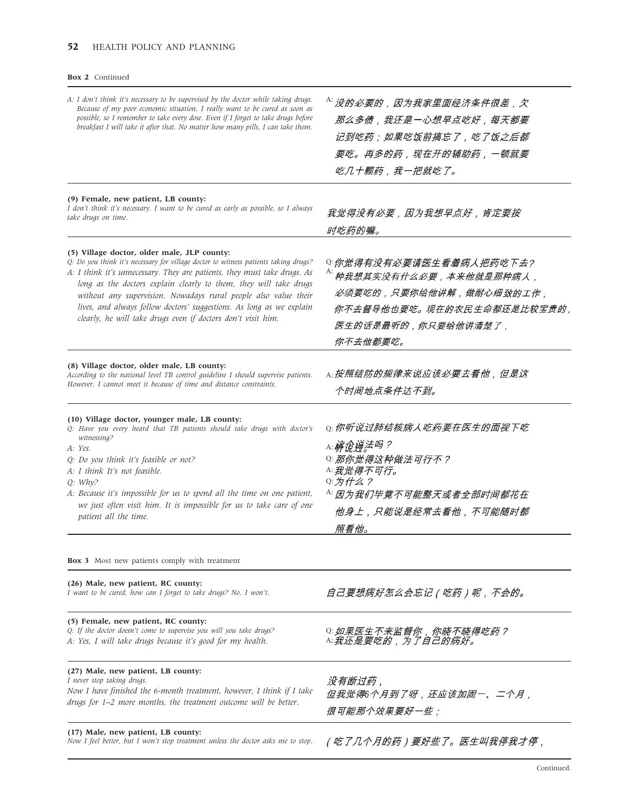# Box 2 Continued

| A: I don't think it's necessary to be supervised by the doctor while taking drugs.<br>Because of my poor economic situation, I really want to be cured as soon as<br>possible, so I remember to take every dose. Even if I forget to take drugs before<br>breakfast I will take it after that. No matter how many pills, I can take them.                                                                                                                                                      | <sup>A:</sup> 没的必要的,因为我家里面经济条件很差,欠<br>那么多债,我还是一心想早点吃好,每天都要<br>记到吃药;如果吃饭前搞忘了,吃了饭之后都<br>要吃。再多的药,现在开的辅助药,一顿就要<br>吃几十颗药,我一把就吃了。                    |
|------------------------------------------------------------------------------------------------------------------------------------------------------------------------------------------------------------------------------------------------------------------------------------------------------------------------------------------------------------------------------------------------------------------------------------------------------------------------------------------------|------------------------------------------------------------------------------------------------------------------------------------------------|
| (9) Female, new patient, LB county:<br>I don't think it's necessary. I want to be cured as early as possible, so I always<br>take drugs on time.                                                                                                                                                                                                                                                                                                                                               | 我觉得没有必要,因为我想早点好,肯定要按<br>时吃药的嘛。                                                                                                                 |
| (5) Village doctor, older male, JLP county:<br>Q: Do you think it's necessary for village doctor to witness patients taking drugs?<br>A: I think it's unnecessary. They are patients, they must take drugs. As<br>long as the doctors explain clearly to them, they will take drugs<br>without any supervision. Nowadays rural people also value their<br>lives, and always follow doctors' suggestions. As long as we explain<br>clearly, he will take drugs even if doctors don't visit him. | Q: 你觉得有没有必要请医生看着病人把药吃下去?<br>种我想其实没有什么必要,本来他就是那种病人,<br>必须要吃的,只要你给他讲解,做耐心细致的工作,<br>你不去督导他也要吃。现在的农民生命都还是比较宝贵的,<br>医生的话是最听的,你只要给他讲清楚了,<br>你不去他都要吃。 |
| (8) Village doctor, older male, LB county:<br>According to the national level TB control guideline I should supervise patients.<br>However, I cannot meet it because of time and distance constraints.                                                                                                                                                                                                                                                                                         | 个时间地点条件达不到。                                                                                                                                    |
| (10) Village doctor, younger male, LB county:<br>Q: Have you every heard that TB patients should take drugs with doctor's<br>witnessing?<br>A: Yes.<br>Q: Do you think it's feasible or not?<br>A: I think It's not feasible.<br>Q: Why?<br>A: Because it's impossible for us to spend all the time on one patient,<br>we just often visit him. It is impossible for us to take care of one<br>patient all the time.                                                                           | A: 醉说逆法吗?<br>Q: 那你觉得这种做法可行不?<br>A: 我觉得不可行。<br>Q:为什么?<br>A: 因为我们毕竟不可能整天或者全部时间都花在<br>他身上,只能说是经常去看他,不可能随时都<br>照看他。                                |
| <b>Box 3</b> Most new patients comply with treatment                                                                                                                                                                                                                                                                                                                                                                                                                                           |                                                                                                                                                |
| (26) Male, new patient, RC county:<br>I want to be cured, how can I forget to take drugs? No, I won't.                                                                                                                                                                                                                                                                                                                                                                                         | 自己要想病好怎么会忘记(吃药)呢,不会的。                                                                                                                          |
| (5) Female, new patient, RC county:<br>Q: If the doctor doesn't come to supervise you will you take drugs?<br>A: Yes, I will take drugs because it's good for my health.                                                                                                                                                                                                                                                                                                                       | Q: <i>如果医生不来监督你,你晓不晓得吃药?</i><br>A: <i>我还是要吃的,为了自己的病好。</i>                                                                                      |
| (27) Male, new patient, LB county:<br>I never stop taking drugs.<br>Now I have finished the 6-month treatment, however, I think if I take<br>drugs for 1–2 more months, the treatment outcome will be better.                                                                                                                                                                                                                                                                                  | 没有断过药,<br>但我觉得6个月到了呀,还应该加固一、二个月,<br>很可能那个效果要好一些:                                                                                               |
| (17) Male, new patient, LB county:<br>Now I feel better, but I won't stop treatment unless the doctor asks me to stop.                                                                                                                                                                                                                                                                                                                                                                         | (吃了几个月的药)要好些了。医生叫我停我才停,                                                                                                                        |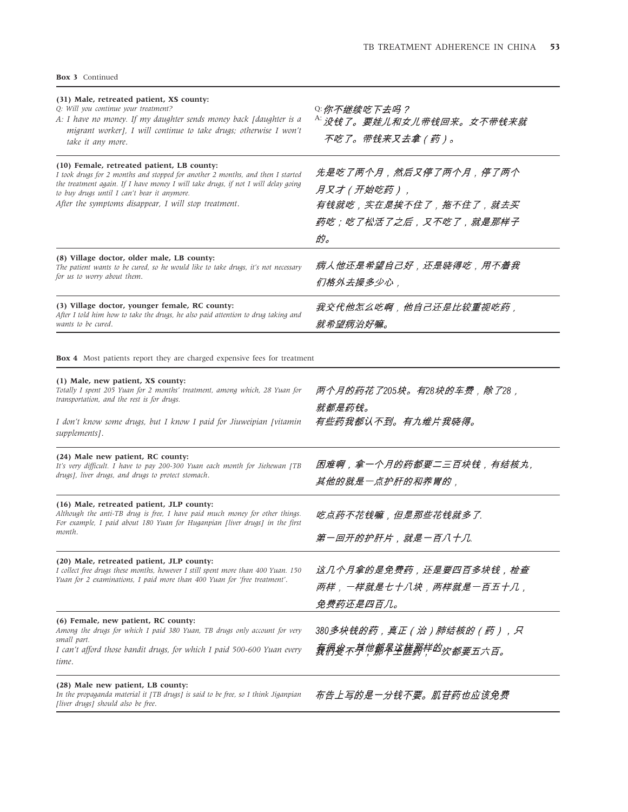# Box 3 Continued

| (31) Male, retreated patient, XS county:<br>Q: Will you continue your treatment?<br>A: I have no money. If my daughter sends money back [daughter is a<br>migrant worker], I will continue to take drugs; otherwise I won't<br>take it any more.                                                                         | Q: <i>你不继续吃下去吗?</i><br><sup>A:</sup> 没钱 <i>了。要娃儿和女儿带钱回来。女不带钱来就</i><br>不吃了。带钱来又去拿(药)。        |
|--------------------------------------------------------------------------------------------------------------------------------------------------------------------------------------------------------------------------------------------------------------------------------------------------------------------------|---------------------------------------------------------------------------------------------|
| (10) Female, retreated patient, LB county:<br>I took drugs for 2 months and stopped for another 2 months, and then I started<br>the treatment again. If I have money I will take drugs, if not I will delay going<br>to buy drugs until I can't bear it anymore.<br>After the symptoms disappear, I will stop treatment. | 先是吃了两个月,然后又停了两个月,停了两个<br>月又才(开始吃药),<br>有钱就吃,实在是挨不住了,拖不住了,就去买<br>药吃;吃了松活了之后,又不吃了,就是那样子<br>的。 |
| (8) Village doctor, older male, LB county:<br>The patient wants to be cured, so he would like to take drugs, it's not necessary<br>for us to worry about them.                                                                                                                                                           | 病人他还是希望自己好,还是晓得吃,用不着我<br>们格外去操多少心,                                                          |
| (3) Village doctor, younger female, RC county:<br>After I told him how to take the drugs, he also paid attention to drug taking and<br>wants to be cured.                                                                                                                                                                | 我交代他怎么吃啊,他自己还是比较重视吃药,<br>就希望病治好嘛。                                                           |
| <b>Box 4</b> Most patients report they are charged expensive fees for treatment                                                                                                                                                                                                                                          |                                                                                             |
| (1) Male, new patient, XS county:<br>Totally I spent 205 Yuan for 2 months' treatment, among which, 28 Yuan for<br>transportation, and the rest is for drugs.<br>I don't know some drugs, but I know I paid for Jiuweipian [vitamin<br>supplements].                                                                     | 两个月的药花了205块。有28块的车费,除了28,<br>就都是药钱。<br>有些药我都认不到。有九维片我晓得。                                    |
| (24) Male new patient, RC county:<br>It's very difficult. I have to pay 200-300 Yuan each month for Jiehewan [TB<br>drugs], liver drugs, and drugs to protect stomach.                                                                                                                                                   | 困难啊,拿一个月的药都要二三百块钱,有结核丸,<br>其他的就是一点护肝的和养胃的,                                                  |
| (16) Male, retreated patient, JLP county:<br>Although the anti-TB drug is free, I have paid much money for other things.<br>For example, I paid about 180 Yuan for Huganpian [liver drugs] in the first<br>month.                                                                                                        | 吃点药不花钱嘛,但是那些花钱就多了.<br>第一回开的护肝片, 就是一百八十几.                                                    |
| (20) Male, retreated patient, JLP county:<br>I collect free drugs these months, however I still spent more than 400 Yuan. 150<br>Yuan for 2 examinations, I paid more than 400 Yuan for 'free treatment'.                                                                                                                | 这几个月拿的是免费药,还是要四百多块钱,检查<br>两样,一样就是七十八块,两样就是一百五十几,<br>免费药还是四百几。                               |
| (6) Female, new patient, RC county:<br>Among the drugs for which I paid 380 Yuan, TB drugs only account for very<br>small part.<br>I can't afford those bandit drugs, for which I paid 500-600 Yuan every<br>time.                                                                                                       | 380多块钱的药,真正(治)肺结核的(药),只<br>赛得爱不基他都晕这鹾翻样的欢都要五六百。                                             |
| (28) Male new patient, LB county:<br>In the propaganda material it [TB drugs] is said to be free, so I think Jiganpian<br>[liver drugs] should also be free.                                                                                                                                                             | 布告上写的是一分钱不要。肌苷药也应该免费                                                                        |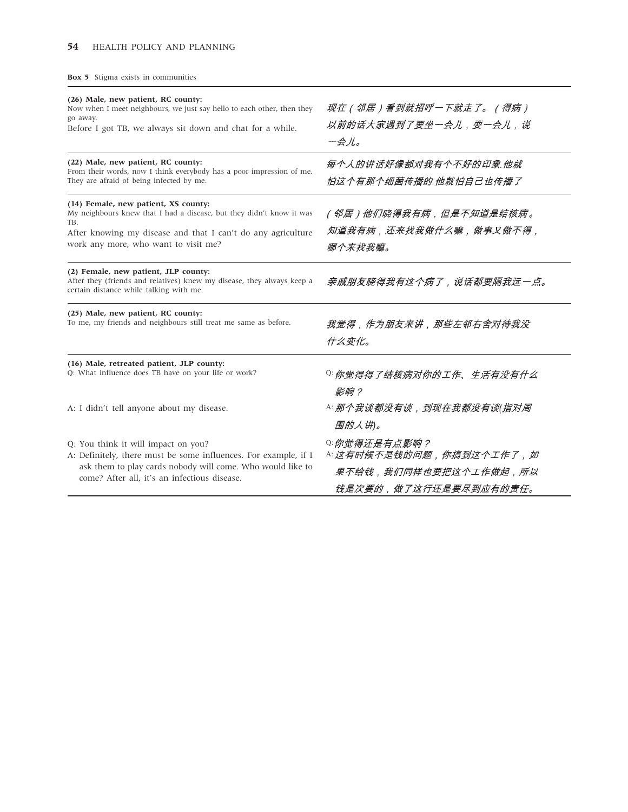Box 5 Stigma exists in communities

| (26) Male, new patient, RC county:<br>Now when I meet neighbours, we just say hello to each other, then they<br>go away.<br>Before I got TB, we always sit down and chat for a while.                                       | 现在(邻居)看到就招呼一下就走了。(得病)<br>以前的话大家遇到了要坐一会儿,要一会儿,说<br>一会儿。                                     |
|-----------------------------------------------------------------------------------------------------------------------------------------------------------------------------------------------------------------------------|--------------------------------------------------------------------------------------------|
| (22) Male, new patient, RC county:<br>From their words, now I think everybody has a poor impression of me.<br>They are afraid of being infected by me.                                                                      | 每个人的讲话好像都对我有个不好的印象.他就<br>怕这个有那个细菌传播的,他就怕自己也传播了                                             |
| (14) Female, new patient, XS county:<br>My neighbours knew that I had a disease, but they didn't know it was<br>TB.<br>After knowing my disease and that I can't do any agriculture<br>work any more, who want to visit me? | (邻居)他们晓得我有病,但是不知道是结核病。<br>知道我有病,还来找我做什么嘛,做事又做不得,<br>哪个来找我嘛。                                |
| (2) Female, new patient, JLP county:<br>After they (friends and relatives) knew my disease, they always keep a<br>certain distance while talking with me.                                                                   | 亲戚朋友晓得我有这个病了,说话都要隔我远一点。                                                                    |
| (25) Male, new patient, RC county:<br>To me, my friends and neighbours still treat me same as before.                                                                                                                       | 我觉得,作为朋友来讲,那些左邻右舍对待我没<br>什么变化。                                                             |
| (16) Male, retreated patient, JLP county:<br>Q: What influence does TB have on your life or work?<br>A: I didn't tell anyone about my disease.                                                                              | Q: 你觉得得了结核病对你的工作、生活有没有什么<br>影响?<br>A: 那个我谈都没有谈,到现在我都没有谈(指对周<br>围的人讲)。                      |
| Q: You think it will impact on you?<br>A: Definitely, there must be some influences. For example, if I<br>ask them to play cards nobody will come. Who would like to<br>come? After all, it's an infectious disease.        | Q:你觉得还是有点影响?<br>A: 这有时候不是钱的问题,你搞到这个工作了,如<br>果不给钱,我们同样也要把这个工作做起,所以<br>钱是次要的,做了这行还是要尽到应有的责任。 |